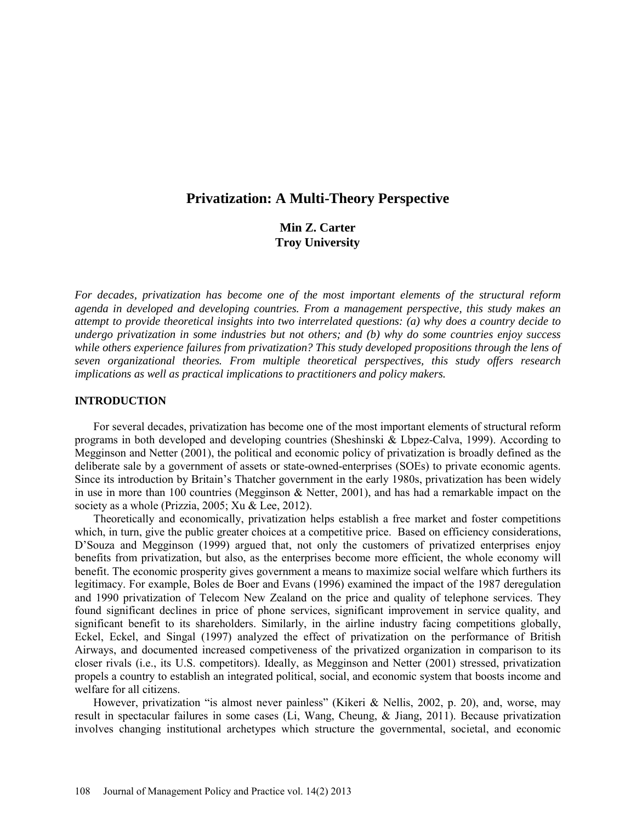# **Privatization: A Multi-Theory Perspective**

**Min Z. Carter Troy University**

*For decades, privatization has become one of the most important elements of the structural reform agenda in developed and developing countries. From a management perspective, this study makes an attempt to provide theoretical insights into two interrelated questions: (a) why does a country decide to undergo privatization in some industries but not others; and (b) why do some countries enjoy success while others experience failures from privatization? This study developed propositions through the lens of seven organizational theories. From multiple theoretical perspectives, this study offers research implications as well as practical implications to practitioners and policy makers.* 

#### **INTRODUCTION**

For several decades, privatization has become one of the most important elements of structural reform programs in both developed and developing countries (Sheshinski & Lbpez-Calva, 1999). According to Megginson and Netter (2001), the political and economic policy of privatization is broadly defined as the deliberate sale by a government of assets or state-owned-enterprises (SOEs) to private economic agents. Since its introduction by Britain's Thatcher government in the early 1980s, privatization has been widely in use in more than 100 countries (Megginson & Netter, 2001), and has had a remarkable impact on the society as a whole (Prizzia, 2005; Xu & Lee, 2012).

Theoretically and economically, privatization helps establish a free market and foster competitions which, in turn, give the public greater choices at a competitive price. Based on efficiency considerations, D'Souza and Megginson (1999) argued that, not only the customers of privatized enterprises enjoy benefits from privatization, but also, as the enterprises become more efficient, the whole economy will benefit. The economic prosperity gives government a means to maximize social welfare which furthers its legitimacy. For example, Boles de Boer and Evans (1996) examined the impact of the 1987 deregulation and 1990 privatization of Telecom New Zealand on the price and quality of telephone services. They found significant declines in price of phone services, significant improvement in service quality, and significant benefit to its shareholders. Similarly, in the airline industry facing competitions globally, Eckel, Eckel, and Singal (1997) analyzed the effect of privatization on the performance of British Airways, and documented increased competiveness of the privatized organization in comparison to its closer rivals (i.e., its U.S. competitors). Ideally, as Megginson and Netter (2001) stressed, privatization propels a country to establish an integrated political, social, and economic system that boosts income and welfare for all citizens.

However, privatization "is almost never painless" (Kikeri & Nellis, 2002, p. 20), and, worse, may result in spectacular failures in some cases (Li, Wang, Cheung, & Jiang, 2011). Because privatization involves changing institutional archetypes which structure the governmental, societal, and economic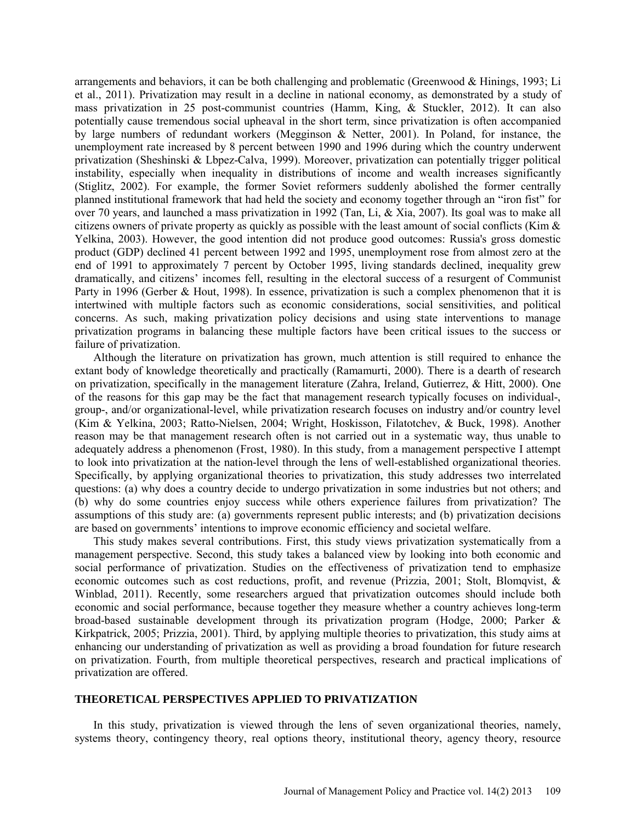arrangements and behaviors, it can be both challenging and problematic (Greenwood  $\&$  Hinings, 1993; Li et al., 2011). Privatization may result in a decline in national economy, as demonstrated by a study of mass privatization in 25 post-communist countries (Hamm, King, & Stuckler, 2012). It can also potentially cause tremendous social upheaval in the short term, since privatization is often accompanied by large numbers of redundant workers (Megginson & Netter, 2001). In Poland, for instance, the unemployment rate increased by 8 percent between 1990 and 1996 during which the country underwent privatization (Sheshinski & Lbpez-Calva, 1999). Moreover, privatization can potentially trigger political instability, especially when inequality in distributions of income and wealth increases significantly (Stiglitz, 2002). For example, the former Soviet reformers suddenly abolished the former centrally planned institutional framework that had held the society and economy together through an "iron fist" for over 70 years, and launched a mass privatization in 1992 (Tan, Li, & Xia, 2007). Its goal was to make all citizens owners of private property as quickly as possible with the least amount of social conflicts (Kim  $\&$ Yelkina, 2003). However, the good intention did not produce good outcomes: Russia's gross domestic product (GDP) declined 41 percent between 1992 and 1995, unemployment rose from almost zero at the end of 1991 to approximately 7 percent by October 1995, living standards declined, inequality grew dramatically, and citizens' incomes fell, resulting in the electoral success of a resurgent of Communist Party in 1996 (Gerber & Hout, 1998). In essence, privatization is such a complex phenomenon that it is intertwined with multiple factors such as economic considerations, social sensitivities, and political concerns. As such, making privatization policy decisions and using state interventions to manage privatization programs in balancing these multiple factors have been critical issues to the success or failure of privatization.

Although the literature on privatization has grown, much attention is still required to enhance the extant body of knowledge theoretically and practically (Ramamurti, 2000). There is a dearth of research on privatization, specifically in the management literature (Zahra, Ireland, Gutierrez, & Hitt, 2000). One of the reasons for this gap may be the fact that management research typically focuses on individual-, group-, and/or organizational-level, while privatization research focuses on industry and/or country level (Kim & Yelkina, 2003; Ratto-Nielsen, 2004; Wright, Hoskisson, Filatotchev, & Buck, 1998). Another reason may be that management research often is not carried out in a systematic way, thus unable to adequately address a phenomenon (Frost, 1980). In this study, from a management perspective I attempt to look into privatization at the nation-level through the lens of well-established organizational theories. Specifically, by applying organizational theories to privatization, this study addresses two interrelated questions: (a) why does a country decide to undergo privatization in some industries but not others; and (b) why do some countries enjoy success while others experience failures from privatization? The assumptions of this study are: (a) governments represent public interests; and (b) privatization decisions are based on governments' intentions to improve economic efficiency and societal welfare.

This study makes several contributions. First, this study views privatization systematically from a management perspective. Second, this study takes a balanced view by looking into both economic and social performance of privatization. Studies on the effectiveness of privatization tend to emphasize economic outcomes such as cost reductions, profit, and revenue (Prizzia, 2001; Stolt, Blomqvist, & Winblad, 2011). Recently, some researchers argued that privatization outcomes should include both economic and social performance, because together they measure whether a country achieves long-term broad-based sustainable development through its privatization program (Hodge, 2000; Parker & Kirkpatrick, 2005; Prizzia, 2001). Third, by applying multiple theories to privatization, this study aims at enhancing our understanding of privatization as well as providing a broad foundation for future research on privatization. Fourth, from multiple theoretical perspectives, research and practical implications of privatization are offered.

## **THEORETICAL PERSPECTIVES APPLIED TO PRIVATIZATION**

In this study, privatization is viewed through the lens of seven organizational theories, namely, systems theory, contingency theory, real options theory, institutional theory, agency theory, resource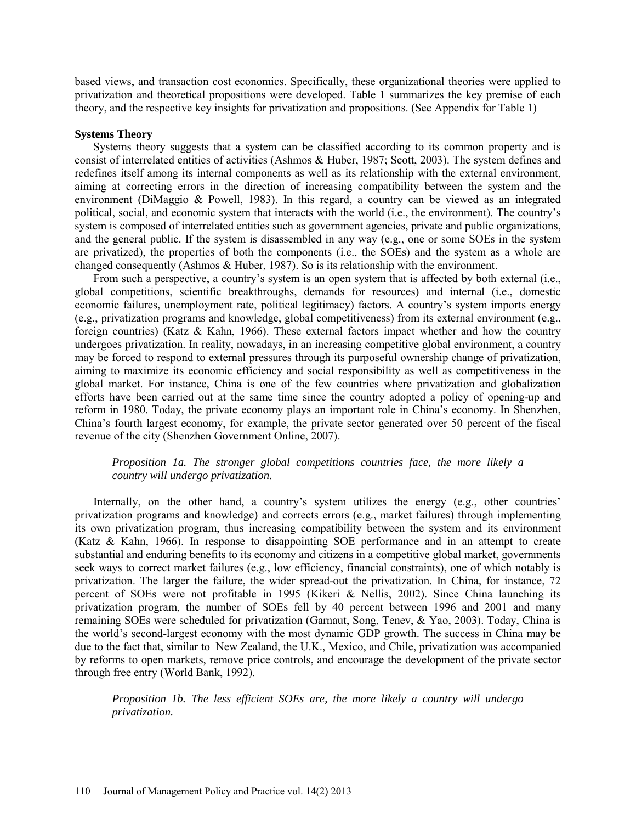based views, and transaction cost economics. Specifically, these organizational theories were applied to privatization and theoretical propositions were developed. Table 1 summarizes the key premise of each theory, and the respective key insights for privatization and propositions. (See Appendix for Table 1)

#### **Systems Theory**

Systems theory suggests that a system can be classified according to its common property and is consist of interrelated entities of activities (Ashmos & Huber, 1987; Scott, 2003). The system defines and redefines itself among its internal components as well as its relationship with the external environment, aiming at correcting errors in the direction of increasing compatibility between the system and the environment (DiMaggio & Powell, 1983). In this regard, a country can be viewed as an integrated political, social, and economic system that interacts with the world (i.e., the environment). The country's system is composed of interrelated entities such as government agencies, private and public organizations, and the general public. If the system is disassembled in any way (e.g., one or some SOEs in the system are privatized), the properties of both the components (i.e., the SOEs) and the system as a whole are changed consequently (Ashmos & Huber, 1987). So is its relationship with the environment.

From such a perspective, a country's system is an open system that is affected by both external (i.e., global competitions, scientific breakthroughs, demands for resources) and internal (i.e., domestic economic failures, unemployment rate, political legitimacy) factors. A country's system imports energy (e.g., privatization programs and knowledge, global competitiveness) from its external environment (e.g., foreign countries) (Katz & Kahn, 1966). These external factors impact whether and how the country undergoes privatization. In reality, nowadays, in an increasing competitive global environment, a country may be forced to respond to external pressures through its purposeful ownership change of privatization, aiming to maximize its economic efficiency and social responsibility as well as competitiveness in the global market. For instance, China is one of the few countries where privatization and globalization efforts have been carried out at the same time since the country adopted a policy of opening-up and reform in 1980. Today, the private economy plays an important role in China's economy. In Shenzhen, China's fourth largest economy, for example, the private sector generated over 50 percent of the fiscal revenue of the city (Shenzhen Government Online, 2007).

# *Proposition 1a. The stronger global competitions countries face, the more likely a country will undergo privatization.*

Internally, on the other hand, a country's system utilizes the energy (e.g., other countries' privatization programs and knowledge) and corrects errors (e.g., market failures) through implementing its own privatization program, thus increasing compatibility between the system and its environment (Katz & Kahn, 1966). In response to disappointing SOE performance and in an attempt to create substantial and enduring benefits to its economy and citizens in a competitive global market, governments seek ways to correct market failures (e.g., low efficiency, financial constraints), one of which notably is privatization. The larger the failure, the wider spread-out the privatization. In China, for instance, 72 percent of SOEs were not profitable in 1995 (Kikeri & Nellis, 2002). Since China launching its privatization program, the number of SOEs fell by 40 percent between 1996 and 2001 and many remaining SOEs were scheduled for privatization (Garnaut, Song, Tenev, & Yao, 2003). Today, China is the world's second-largest economy with the most dynamic GDP growth. The success in China may be due to the fact that, similar to New Zealand, the U.K., Mexico, and Chile, privatization was accompanied by reforms to open markets, remove price controls, and encourage the development of the private sector through free entry (World Bank, 1992).

*Proposition 1b. The less efficient SOEs are, the more likely a country will undergo privatization.*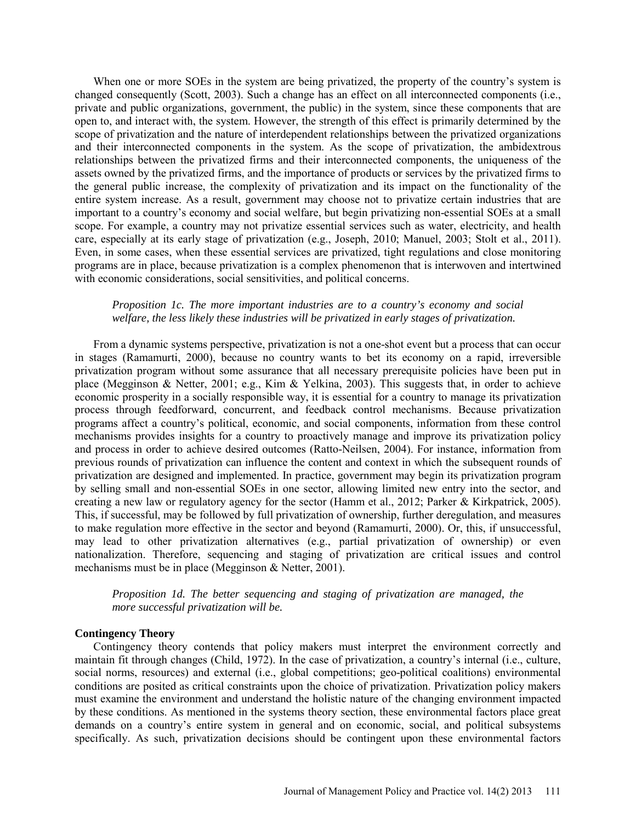When one or more SOEs in the system are being privatized, the property of the country's system is changed consequently (Scott, 2003). Such a change has an effect on all interconnected components (i.e., private and public organizations, government, the public) in the system, since these components that are open to, and interact with, the system. However, the strength of this effect is primarily determined by the scope of privatization and the nature of interdependent relationships between the privatized organizations and their interconnected components in the system. As the scope of privatization, the ambidextrous relationships between the privatized firms and their interconnected components, the uniqueness of the assets owned by the privatized firms, and the importance of products or services by the privatized firms to the general public increase, the complexity of privatization and its impact on the functionality of the entire system increase. As a result, government may choose not to privatize certain industries that are important to a country's economy and social welfare, but begin privatizing non-essential SOEs at a small scope. For example, a country may not privatize essential services such as water, electricity, and health care, especially at its early stage of privatization (e.g., Joseph, 2010; Manuel, 2003; Stolt et al., 2011). Even, in some cases, when these essential services are privatized, tight regulations and close monitoring programs are in place, because privatization is a complex phenomenon that is interwoven and intertwined with economic considerations, social sensitivities, and political concerns.

## *Proposition 1c. The more important industries are to a country's economy and social welfare, the less likely these industries will be privatized in early stages of privatization.*

From a dynamic systems perspective, privatization is not a one-shot event but a process that can occur in stages (Ramamurti, 2000), because no country wants to bet its economy on a rapid, irreversible privatization program without some assurance that all necessary prerequisite policies have been put in place (Megginson & Netter, 2001; e.g., Kim & Yelkina, 2003). This suggests that, in order to achieve economic prosperity in a socially responsible way, it is essential for a country to manage its privatization process through feedforward, concurrent, and feedback control mechanisms. Because privatization programs affect a country's political, economic, and social components, information from these control mechanisms provides insights for a country to proactively manage and improve its privatization policy and process in order to achieve desired outcomes (Ratto-Neilsen, 2004). For instance, information from previous rounds of privatization can influence the content and context in which the subsequent rounds of privatization are designed and implemented. In practice, government may begin its privatization program by selling small and non-essential SOEs in one sector, allowing limited new entry into the sector, and creating a new law or regulatory agency for the sector (Hamm et al., 2012; Parker & Kirkpatrick, 2005). This, if successful, may be followed by full privatization of ownership, further deregulation, and measures to make regulation more effective in the sector and beyond (Ramamurti, 2000). Or, this, if unsuccessful, may lead to other privatization alternatives (e.g., partial privatization of ownership) or even nationalization. Therefore, sequencing and staging of privatization are critical issues and control mechanisms must be in place (Megginson & Netter, 2001).

*Proposition 1d. The better sequencing and staging of privatization are managed, the more successful privatization will be.* 

#### **Contingency Theory**

Contingency theory contends that policy makers must interpret the environment correctly and maintain fit through changes (Child, 1972). In the case of privatization, a country's internal (i.e., culture, social norms, resources) and external (i.e., global competitions; geo-political coalitions) environmental conditions are posited as critical constraints upon the choice of privatization. Privatization policy makers must examine the environment and understand the holistic nature of the changing environment impacted by these conditions. As mentioned in the systems theory section, these environmental factors place great demands on a country's entire system in general and on economic, social, and political subsystems specifically. As such, privatization decisions should be contingent upon these environmental factors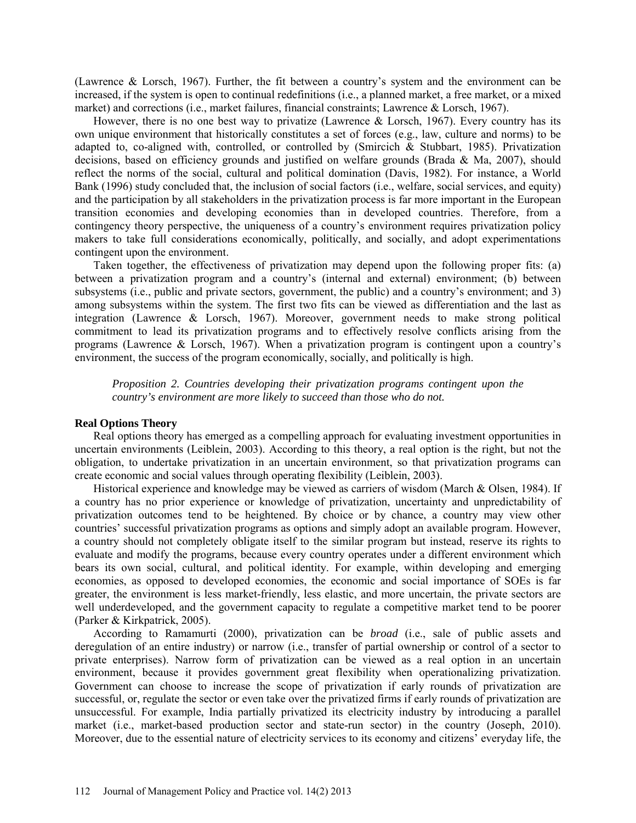(Lawrence & Lorsch, 1967). Further, the fit between a country's system and the environment can be increased, if the system is open to continual redefinitions (i.e., a planned market, a free market, or a mixed market) and corrections (i.e., market failures, financial constraints; Lawrence & Lorsch, 1967).

However, there is no one best way to privatize (Lawrence & Lorsch, 1967). Every country has its own unique environment that historically constitutes a set of forces (e.g., law, culture and norms) to be adapted to, co-aligned with, controlled, or controlled by (Smircich & Stubbart, 1985). Privatization decisions, based on efficiency grounds and justified on welfare grounds (Brada & Ma, 2007), should reflect the norms of the social, cultural and political domination (Davis, 1982). For instance, a World Bank (1996) study concluded that, the inclusion of social factors (i.e., welfare, social services, and equity) and the participation by all stakeholders in the privatization process is far more important in the European transition economies and developing economies than in developed countries. Therefore, from a contingency theory perspective, the uniqueness of a country's environment requires privatization policy makers to take full considerations economically, politically, and socially, and adopt experimentations contingent upon the environment.

Taken together, the effectiveness of privatization may depend upon the following proper fits: (a) between a privatization program and a country's (internal and external) environment; (b) between subsystems (i.e., public and private sectors, government, the public) and a country's environment; and 3) among subsystems within the system. The first two fits can be viewed as differentiation and the last as integration (Lawrence & Lorsch, 1967). Moreover, government needs to make strong political commitment to lead its privatization programs and to effectively resolve conflicts arising from the programs (Lawrence & Lorsch, 1967). When a privatization program is contingent upon a country's environment, the success of the program economically, socially, and politically is high.

*Proposition 2. Countries developing their privatization programs contingent upon the country's environment are more likely to succeed than those who do not.* 

# **Real Options Theory**

Real options theory has emerged as a compelling approach for evaluating investment opportunities in uncertain environments (Leiblein, 2003). According to this theory, a real option is the right, but not the obligation, to undertake privatization in an uncertain environment, so that privatization programs can create economic and social values through operating flexibility (Leiblein, 2003).

Historical experience and knowledge may be viewed as carriers of wisdom (March & Olsen, 1984). If a country has no prior experience or knowledge of privatization, uncertainty and unpredictability of privatization outcomes tend to be heightened. By choice or by chance, a country may view other countries' successful privatization programs as options and simply adopt an available program. However, a country should not completely obligate itself to the similar program but instead, reserve its rights to evaluate and modify the programs, because every country operates under a different environment which bears its own social, cultural, and political identity. For example, within developing and emerging economies, as opposed to developed economies, the economic and social importance of SOEs is far greater, the environment is less market-friendly, less elastic, and more uncertain, the private sectors are well underdeveloped, and the government capacity to regulate a competitive market tend to be poorer (Parker & Kirkpatrick, 2005).

According to Ramamurti (2000), privatization can be *broad* (i.e., sale of public assets and deregulation of an entire industry) or narrow (i.e., transfer of partial ownership or control of a sector to private enterprises). Narrow form of privatization can be viewed as a real option in an uncertain environment, because it provides government great flexibility when operationalizing privatization. Government can choose to increase the scope of privatization if early rounds of privatization are successful, or, regulate the sector or even take over the privatized firms if early rounds of privatization are unsuccessful. For example, India partially privatized its electricity industry by introducing a parallel market (i.e., market-based production sector and state-run sector) in the country (Joseph, 2010). Moreover, due to the essential nature of electricity services to its economy and citizens' everyday life, the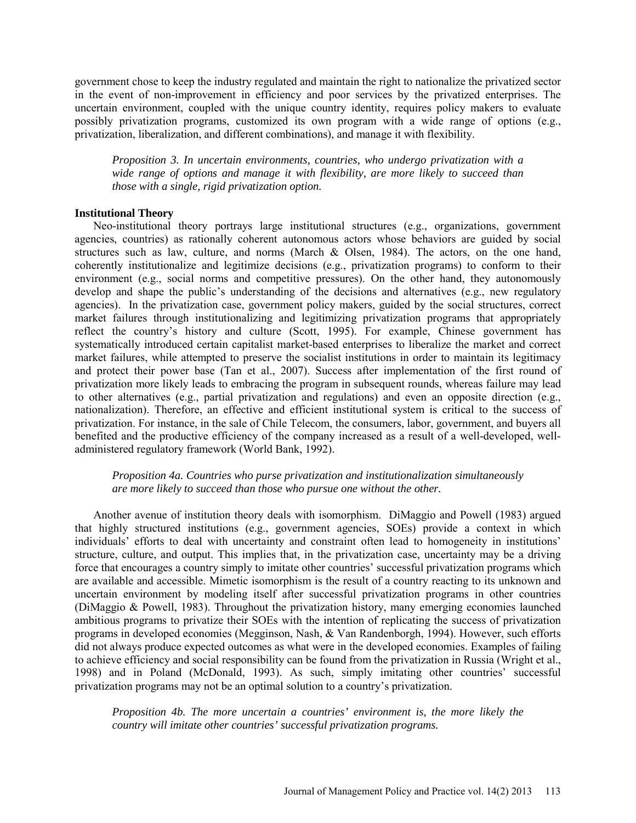government chose to keep the industry regulated and maintain the right to nationalize the privatized sector in the event of non-improvement in efficiency and poor services by the privatized enterprises. The uncertain environment, coupled with the unique country identity, requires policy makers to evaluate possibly privatization programs, customized its own program with a wide range of options (e.g., privatization, liberalization, and different combinations), and manage it with flexibility.

*Proposition 3. In uncertain environments, countries, who undergo privatization with a wide range of options and manage it with flexibility, are more likely to succeed than those with a single, rigid privatization option.* 

## **Institutional Theory**

Neo-institutional theory portrays large institutional structures (e.g., organizations, government agencies, countries) as rationally coherent autonomous actors whose behaviors are guided by social structures such as law, culture, and norms (March & Olsen, 1984). The actors, on the one hand, coherently institutionalize and legitimize decisions (e.g., privatization programs) to conform to their environment (e.g., social norms and competitive pressures). On the other hand, they autonomously develop and shape the public's understanding of the decisions and alternatives (e.g., new regulatory agencies). In the privatization case, government policy makers, guided by the social structures, correct market failures through institutionalizing and legitimizing privatization programs that appropriately reflect the country's history and culture (Scott, 1995). For example, Chinese government has systematically introduced certain capitalist market-based enterprises to liberalize the market and correct market failures, while attempted to preserve the socialist institutions in order to maintain its legitimacy and protect their power base (Tan et al., 2007). Success after implementation of the first round of privatization more likely leads to embracing the program in subsequent rounds, whereas failure may lead to other alternatives (e.g., partial privatization and regulations) and even an opposite direction (e.g., nationalization). Therefore, an effective and efficient institutional system is critical to the success of privatization. For instance, in the sale of Chile Telecom, the consumers, labor, government, and buyers all benefited and the productive efficiency of the company increased as a result of a well-developed, welladministered regulatory framework (World Bank, 1992).

*Proposition 4a. Countries who purse privatization and institutionalization simultaneously are more likely to succeed than those who pursue one without the other.* 

Another avenue of institution theory deals with isomorphism. DiMaggio and Powell (1983) argued that highly structured institutions (e.g., government agencies, SOEs) provide a context in which individuals' efforts to deal with uncertainty and constraint often lead to homogeneity in institutions' structure, culture, and output. This implies that, in the privatization case, uncertainty may be a driving force that encourages a country simply to imitate other countries' successful privatization programs which are available and accessible. Mimetic isomorphism is the result of a country reacting to its unknown and uncertain environment by modeling itself after successful privatization programs in other countries (DiMaggio & Powell, 1983). Throughout the privatization history, many emerging economies launched ambitious programs to privatize their SOEs with the intention of replicating the success of privatization programs in developed economies (Megginson, Nash, & Van Randenborgh, 1994). However, such efforts did not always produce expected outcomes as what were in the developed economies. Examples of failing to achieve efficiency and social responsibility can be found from the privatization in Russia (Wright et al., 1998) and in Poland (McDonald, 1993). As such, simply imitating other countries' successful privatization programs may not be an optimal solution to a country's privatization.

*Proposition 4b. The more uncertain a countries' environment is, the more likely the country will imitate other countries' successful privatization programs.*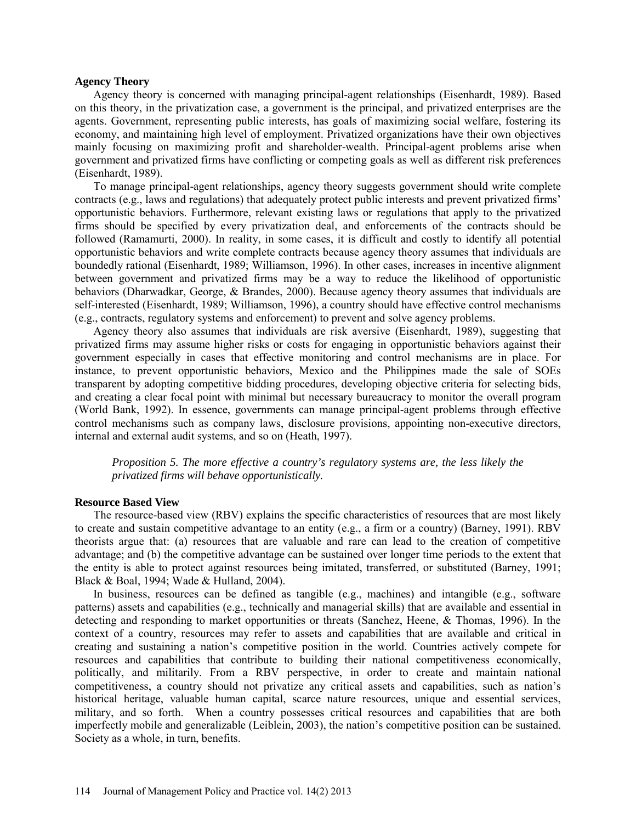#### **Agency Theory**

Agency theory is concerned with managing principal-agent relationships (Eisenhardt, 1989). Based on this theory, in the privatization case, a government is the principal, and privatized enterprises are the agents. Government, representing public interests, has goals of maximizing social welfare, fostering its economy, and maintaining high level of employment. Privatized organizations have their own objectives mainly focusing on maximizing profit and shareholder-wealth. Principal-agent problems arise when government and privatized firms have conflicting or competing goals as well as different risk preferences (Eisenhardt, 1989).

To manage principal-agent relationships, agency theory suggests government should write complete contracts (e.g., laws and regulations) that adequately protect public interests and prevent privatized firms' opportunistic behaviors. Furthermore, relevant existing laws or regulations that apply to the privatized firms should be specified by every privatization deal, and enforcements of the contracts should be followed (Ramamurti, 2000). In reality, in some cases, it is difficult and costly to identify all potential opportunistic behaviors and write complete contracts because agency theory assumes that individuals are boundedly rational (Eisenhardt, 1989; Williamson, 1996). In other cases, increases in incentive alignment between government and privatized firms may be a way to reduce the likelihood of opportunistic behaviors (Dharwadkar, George, & Brandes, 2000). Because agency theory assumes that individuals are self-interested (Eisenhardt, 1989; Williamson, 1996), a country should have effective control mechanisms (e.g., contracts, regulatory systems and enforcement) to prevent and solve agency problems.

Agency theory also assumes that individuals are risk aversive (Eisenhardt, 1989), suggesting that privatized firms may assume higher risks or costs for engaging in opportunistic behaviors against their government especially in cases that effective monitoring and control mechanisms are in place. For instance, to prevent opportunistic behaviors, Mexico and the Philippines made the sale of SOEs transparent by adopting competitive bidding procedures, developing objective criteria for selecting bids, and creating a clear focal point with minimal but necessary bureaucracy to monitor the overall program (World Bank, 1992). In essence, governments can manage principal-agent problems through effective control mechanisms such as company laws, disclosure provisions, appointing non-executive directors, internal and external audit systems, and so on (Heath, 1997).

*Proposition 5. The more effective a country's regulatory systems are, the less likely the privatized firms will behave opportunistically.* 

#### **Resource Based View**

The resource-based view (RBV) explains the specific characteristics of resources that are most likely to create and sustain competitive advantage to an entity (e.g., a firm or a country) (Barney, 1991). RBV theorists argue that: (a) resources that are valuable and rare can lead to the creation of competitive advantage; and (b) the competitive advantage can be sustained over longer time periods to the extent that the entity is able to protect against resources being imitated, transferred, or substituted (Barney, 1991; Black & Boal, 1994; Wade & Hulland, 2004).

In business, resources can be defined as tangible (e.g., machines) and intangible (e.g., software patterns) assets and capabilities (e.g., technically and managerial skills) that are available and essential in detecting and responding to market opportunities or threats (Sanchez, Heene, & Thomas, 1996). In the context of a country, resources may refer to assets and capabilities that are available and critical in creating and sustaining a nation's competitive position in the world. Countries actively compete for resources and capabilities that contribute to building their national competitiveness economically, politically, and militarily. From a RBV perspective, in order to create and maintain national competitiveness, a country should not privatize any critical assets and capabilities, such as nation's historical heritage, valuable human capital, scarce nature resources, unique and essential services, military, and so forth. When a country possesses critical resources and capabilities that are both imperfectly mobile and generalizable (Leiblein, 2003), the nation's competitive position can be sustained. Society as a whole, in turn, benefits.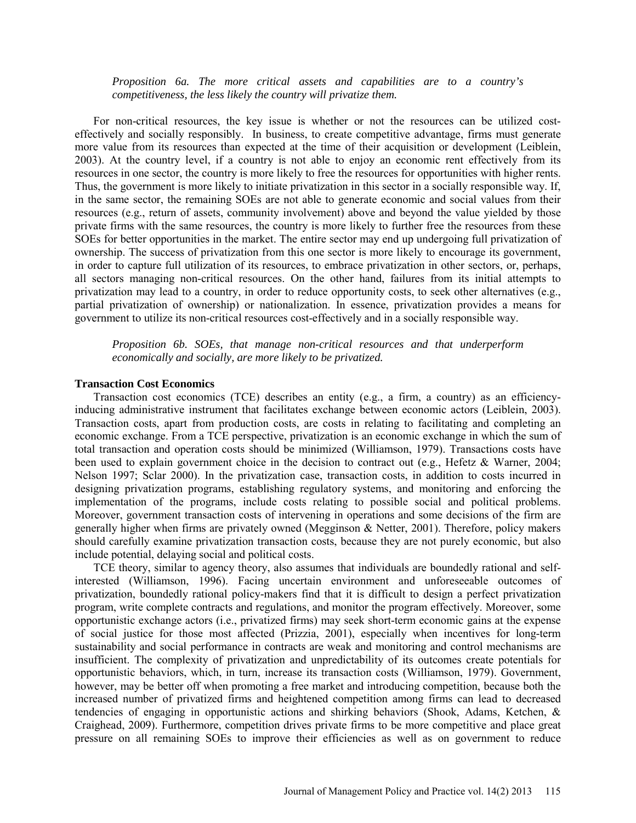*Proposition 6a. The more critical assets and capabilities are to a country's competitiveness, the less likely the country will privatize them.* 

For non-critical resources, the key issue is whether or not the resources can be utilized costeffectively and socially responsibly. In business, to create competitive advantage, firms must generate more value from its resources than expected at the time of their acquisition or development (Leiblein, 2003). At the country level, if a country is not able to enjoy an economic rent effectively from its resources in one sector, the country is more likely to free the resources for opportunities with higher rents. Thus, the government is more likely to initiate privatization in this sector in a socially responsible way. If, in the same sector, the remaining SOEs are not able to generate economic and social values from their resources (e.g., return of assets, community involvement) above and beyond the value yielded by those private firms with the same resources, the country is more likely to further free the resources from these SOEs for better opportunities in the market. The entire sector may end up undergoing full privatization of ownership. The success of privatization from this one sector is more likely to encourage its government, in order to capture full utilization of its resources, to embrace privatization in other sectors, or, perhaps, all sectors managing non-critical resources. On the other hand, failures from its initial attempts to privatization may lead to a country, in order to reduce opportunity costs, to seek other alternatives (e.g., partial privatization of ownership) or nationalization. In essence, privatization provides a means for government to utilize its non-critical resources cost-effectively and in a socially responsible way.

*Proposition 6b. SOEs, that manage non-critical resources and that underperform economically and socially, are more likely to be privatized.* 

### **Transaction Cost Economics**

Transaction cost economics (TCE) describes an entity (e.g., a firm, a country) as an efficiencyinducing administrative instrument that facilitates exchange between economic actors (Leiblein, 2003). Transaction costs, apart from production costs, are costs in relating to facilitating and completing an economic exchange. From a TCE perspective, privatization is an economic exchange in which the sum of total transaction and operation costs should be minimized (Williamson, 1979). Transactions costs have been used to explain government choice in the decision to contract out (e.g., Hefetz & Warner, 2004; Nelson 1997; Sclar 2000). In the privatization case, transaction costs, in addition to costs incurred in designing privatization programs, establishing regulatory systems, and monitoring and enforcing the implementation of the programs, include costs relating to possible social and political problems. Moreover, government transaction costs of intervening in operations and some decisions of the firm are generally higher when firms are privately owned (Megginson & Netter, 2001). Therefore, policy makers should carefully examine privatization transaction costs, because they are not purely economic, but also include potential, delaying social and political costs.

TCE theory, similar to agency theory, also assumes that individuals are boundedly rational and selfinterested (Williamson, 1996). Facing uncertain environment and unforeseeable outcomes of privatization, boundedly rational policy-makers find that it is difficult to design a perfect privatization program, write complete contracts and regulations, and monitor the program effectively. Moreover, some opportunistic exchange actors (i.e., privatized firms) may seek short-term economic gains at the expense of social justice for those most affected (Prizzia, 2001), especially when incentives for long-term sustainability and social performance in contracts are weak and monitoring and control mechanisms are insufficient. The complexity of privatization and unpredictability of its outcomes create potentials for opportunistic behaviors, which, in turn, increase its transaction costs (Williamson, 1979). Government, however, may be better off when promoting a free market and introducing competition, because both the increased number of privatized firms and heightened competition among firms can lead to decreased tendencies of engaging in opportunistic actions and shirking behaviors (Shook, Adams, Ketchen, & Craighead, 2009). Furthermore, competition drives private firms to be more competitive and place great pressure on all remaining SOEs to improve their efficiencies as well as on government to reduce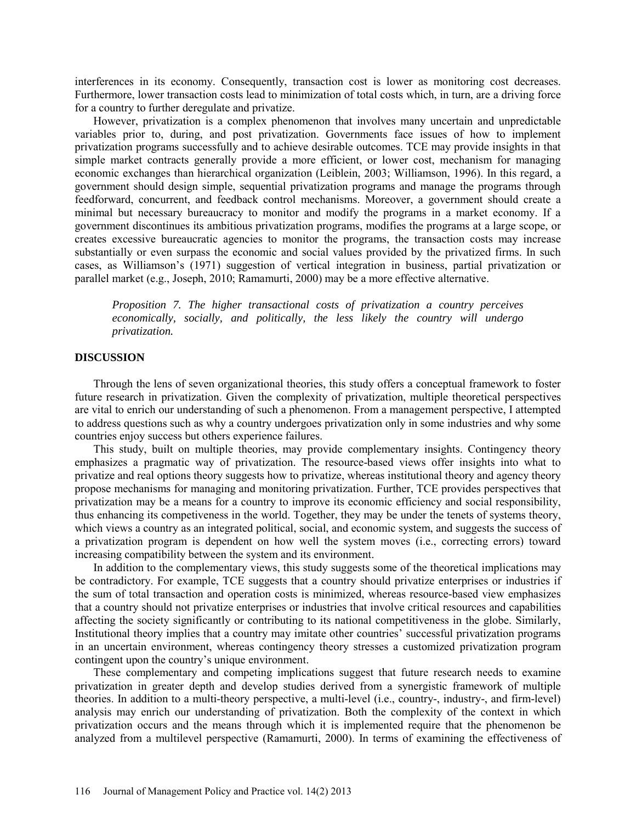interferences in its economy. Consequently, transaction cost is lower as monitoring cost decreases. Furthermore, lower transaction costs lead to minimization of total costs which, in turn, are a driving force for a country to further deregulate and privatize.

However, privatization is a complex phenomenon that involves many uncertain and unpredictable variables prior to, during, and post privatization. Governments face issues of how to implement privatization programs successfully and to achieve desirable outcomes. TCE may provide insights in that simple market contracts generally provide a more efficient, or lower cost, mechanism for managing economic exchanges than hierarchical organization (Leiblein, 2003; Williamson, 1996). In this regard, a government should design simple, sequential privatization programs and manage the programs through feedforward, concurrent, and feedback control mechanisms. Moreover, a government should create a minimal but necessary bureaucracy to monitor and modify the programs in a market economy. If a government discontinues its ambitious privatization programs, modifies the programs at a large scope, or creates excessive bureaucratic agencies to monitor the programs, the transaction costs may increase substantially or even surpass the economic and social values provided by the privatized firms. In such cases, as Williamson's (1971) suggestion of vertical integration in business, partial privatization or parallel market (e.g., Joseph, 2010; Ramamurti, 2000) may be a more effective alternative.

*Proposition 7. The higher transactional costs of privatization a country perceives economically, socially, and politically, the less likely the country will undergo privatization.* 

#### **DISCUSSION**

Through the lens of seven organizational theories, this study offers a conceptual framework to foster future research in privatization. Given the complexity of privatization, multiple theoretical perspectives are vital to enrich our understanding of such a phenomenon. From a management perspective, I attempted to address questions such as why a country undergoes privatization only in some industries and why some countries enjoy success but others experience failures.

This study, built on multiple theories, may provide complementary insights. Contingency theory emphasizes a pragmatic way of privatization. The resource-based views offer insights into what to privatize and real options theory suggests how to privatize, whereas institutional theory and agency theory propose mechanisms for managing and monitoring privatization. Further, TCE provides perspectives that privatization may be a means for a country to improve its economic efficiency and social responsibility, thus enhancing its competiveness in the world. Together, they may be under the tenets of systems theory, which views a country as an integrated political, social, and economic system, and suggests the success of a privatization program is dependent on how well the system moves (i.e., correcting errors) toward increasing compatibility between the system and its environment.

In addition to the complementary views, this study suggests some of the theoretical implications may be contradictory. For example, TCE suggests that a country should privatize enterprises or industries if the sum of total transaction and operation costs is minimized, whereas resource-based view emphasizes that a country should not privatize enterprises or industries that involve critical resources and capabilities affecting the society significantly or contributing to its national competitiveness in the globe. Similarly, Institutional theory implies that a country may imitate other countries' successful privatization programs in an uncertain environment, whereas contingency theory stresses a customized privatization program contingent upon the country's unique environment.

These complementary and competing implications suggest that future research needs to examine privatization in greater depth and develop studies derived from a synergistic framework of multiple theories. In addition to a multi-theory perspective, a multi-level (i.e., country-, industry-, and firm-level) analysis may enrich our understanding of privatization. Both the complexity of the context in which privatization occurs and the means through which it is implemented require that the phenomenon be analyzed from a multilevel perspective (Ramamurti, 2000). In terms of examining the effectiveness of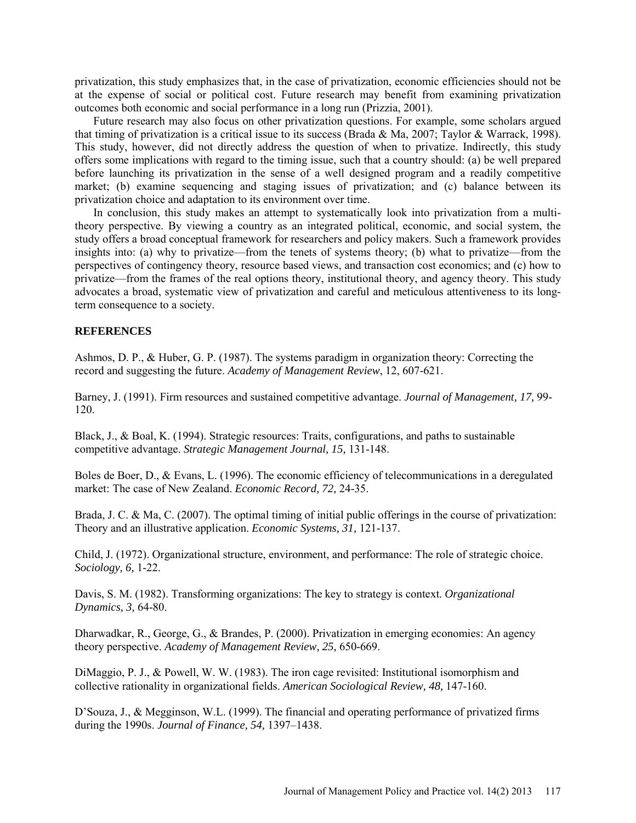privatization, this study emphasizes that, in the case of privatization, economic efficiencies should not be at the expense of social or political cost. Future research may benefit from examining privatization outcomes both economic and social performance in a long run (Prizzia, 2001).

Future research may also focus on other privatization questions. For example, some scholars argued that timing of privatization is a critical issue to its success (Brada & Ma, 2007; Taylor & Warrack, 1998). This study, however, did not directly address the question of when to privatize. Indirectly, this study offers some implications with regard to the timing issue, such that a country should: (a) be well prepared before launching its privatization in the sense of a well designed program and a readily competitive market; (b) examine sequencing and staging issues of privatization; and (c) balance between its privatization choice and adaptation to its environment over time.

In conclusion, this study makes an attempt to systematically look into privatization from a multitheory perspective. By viewing a country as an integrated political, economic, and social system, the study offers a broad conceptual framework for researchers and policy makers. Such a framework provides insights into: (a) why to privatize—from the tenets of systems theory; (b) what to privatize—from the perspectives of contingency theory, resource based views, and transaction cost economics; and (c) how to privatize—from the frames of the real options theory, institutional theory, and agency theory. This study advocates a broad, systematic view of privatization and careful and meticulous attentiveness to its longterm consequence to a society.

# **REFERENCES**

Ashmos, D. P., & Huber, G. P. (1987). The systems paradigm in organization theory: Correcting the record and suggesting the future. *Academy of Management Review*, 12, 607-621.

Barney, J. (1991). Firm resources and sustained competitive advantage. *Journal of Management, 17,* 99- 120.

Black, J., & Boal, K. (1994). Strategic resources: Traits, configurations, and paths to sustainable competitive advantage. *Strategic Management Journal, 15,* 131-148.

Boles de Boer, D., & Evans, L. (1996). The economic efficiency of telecommunications in a deregulated market: The case of New Zealand. *Economic Record, 72,* 24-35.

Brada, J. C. & Ma, C. (2007). The optimal timing of initial public offerings in the course of privatization: Theory and an illustrative application. *Economic Systems, 31,* 121-137.

Child, J. (1972). Organizational structure, environment, and performance: The role of strategic choice. *Sociology, 6,* 1-22.

Davis, S. M. (1982). Transforming organizations: The key to strategy is context. *Organizational Dynamics, 3,* 64-80.

Dharwadkar, R., George, G., & Brandes, P. (2000). Privatization in emerging economies: An agency theory perspective. *[Academy of Management Review,](javascript:__doLinkPostBack() 25,* 650-669.

DiMaggio, P. J., & Powell, W. W. (1983). The iron cage revisited: Institutional isomorphism and collective rationality in organizational fields. *American Sociological Review, 48,* 147-160.

D'Souza, J., & Megginson, W.L. (1999). The financial and operating performance of privatized firms during the 1990s. *Journal of Finance, 54,* 1397–1438.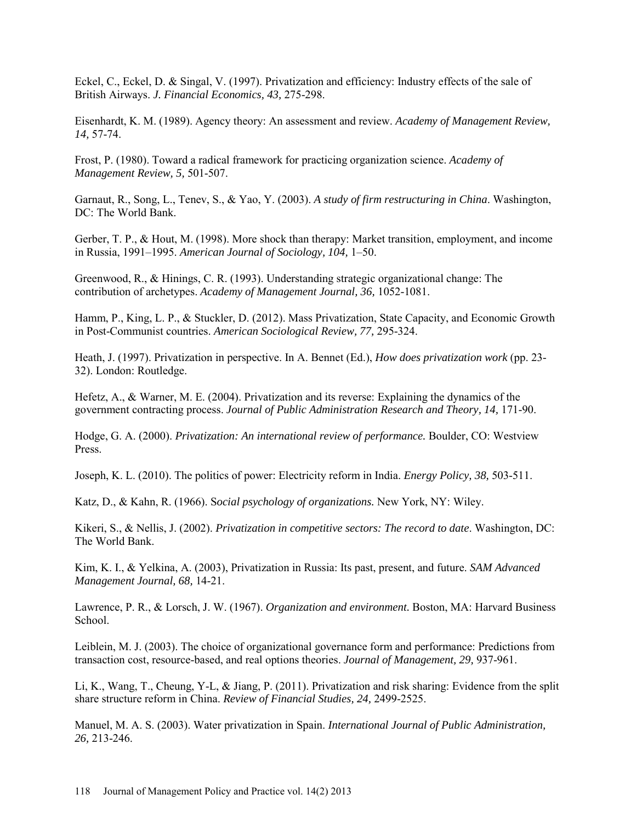Eckel, C., Eckel, D. & Singal, V. (1997). Privatization and efficiency: Industry effects of the sale of British Airways. *J. Financial Economics, 43,* 275-298.

Eisenhardt, K. M. (1989). Agency theory: An assessment and review. *Academy of Management Review, 14,* 57-74.

Frost, P. (1980). Toward a radical framework for practicing organization science. *Academy of Management Review, 5,* 501-507.

Garnaut, R., Song, L., Tenev, S., & Yao, Y. (2003). *A study of firm restructuring in China*. Washington, DC: The World Bank.

Gerber, T. P., & Hout, M. (1998). More shock than therapy: Market transition, employment, and income in Russia, 1991–1995. *American Journal of Sociology, 104,* 1–50.

Greenwood, R., & Hinings, C. R. (1993). Understanding strategic organizational change: The contribution of archetypes. *Academy of Management Journal, 36,* 1052-1081.

Hamm, P., King, L. P., & Stuckler, D. (2012). Mass Privatization, State Capacity, and Economic Growth in Post-Communist countries. *American Sociological Review, 77,* 295-324.

Heath, J. (1997). Privatization in perspective. In A. Bennet (Ed.), *How does privatization work* (pp. 23- 32). London: Routledge.

Hefetz, A., & Warner, M. E. (2004). Privatization and its reverse: Explaining the dynamics of the government contracting process. *Journal of Public Administration Research and Theory, 14,* 171-90.

Hodge, G. A. (2000). *Privatization: An international review of performance.* Boulder, CO: Westview Press.

Joseph, K. L. (2010). The politics of power: Electricity reform in India. *Energy Policy, 38,* 503-511.

Katz, D., & Kahn, R. (1966). S*ocial psychology of organizations.* New York, NY: Wiley.

Kikeri, S., & Nellis, J. (2002). *Privatization in competitive sectors: The record to date*. Washington, DC: The World Bank.

Kim, K. I., & Yelkina, A. (2003), [Privatization in Russia: Its past, present, and future.](http://www.questia.com/PM.qst?a=o&se=gglsc&d=5001930573) *SAM Advanced Management Journal, 68,* 14-21.

Lawrence, P. R., & Lorsch, J. W. (1967). *Organization and environment.* Boston, MA: Harvard Business School.

Leiblein, M. J. (2003). The choice of organizational governance form and performance: Predictions from transaction cost, resource-based, and real options theories. *Journal of Management, 29,* 937-961.

Li, K., Wang, T., Cheung, Y-L, & Jiang, P. (2011). Privatization and risk sharing: Evidence from the split share structure reform in China. *Review of Financial Studies, 24,* 2499-2525.

Manuel, M. A. S. (2003). Water privatization in Spain. *International Journal of Public Administration, 26,* 213-246.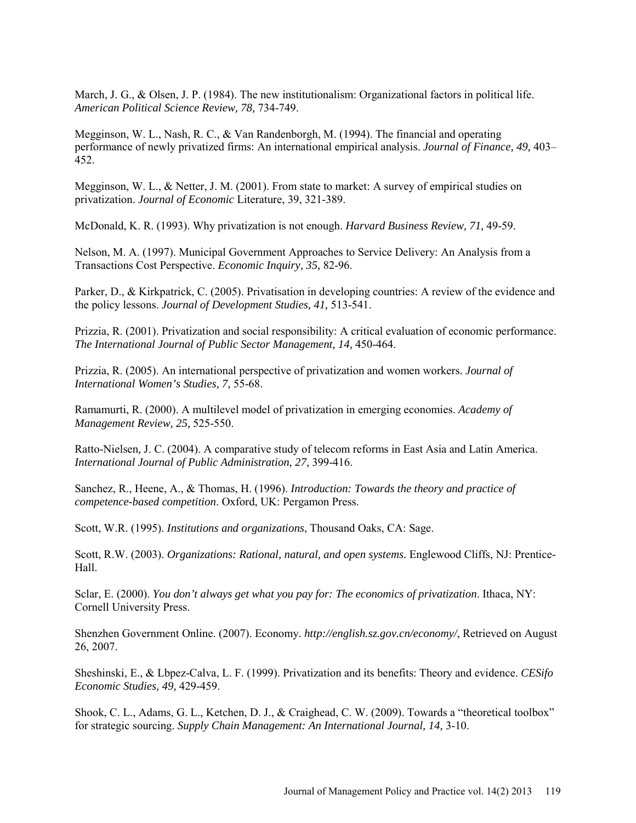March, J. G., & Olsen, J. P. (1984). The new institutionalism: Organizational factors in political life. *American Political Science Review, 78,* 734-749.

Megginson, W. L., Nash, R. C., & Van Randenborgh, M. (1994). The financial and operating performance of newly privatized firms: An international empirical analysis. *Journal of Finance, 49,* 403– 452.

Megginson, W. L., & Netter, J. M. (2001). [From state to market: A survey of empirical studies on](http://faculty-staff.ou.edu/M/William.L.Megginson-1/prvsvpapJLE.pdf)  [privatization.](http://faculty-staff.ou.edu/M/William.L.Megginson-1/prvsvpapJLE.pdf) *Journal of Economic* Literature, 39, 321-389.

McDonald, K. R. (1993). Why privatization is not enough. *Harvard Business Review, 71,* 49-59.

Nelson, M. A. (1997). Municipal Government Approaches to Service Delivery: An Analysis from a Transactions Cost Perspective. *Economic Inquiry, 35,* 82-96.

Parker, D., & Kirkpatrick, C. (2005). Privatisation in developing countries: A review of the evidence and the policy lessons. *Journal of Development Studies, 41,* 513-541.

Prizzia, R. (2001). Privatization and social responsibility: A critical evaluation of economic performance. *The International Journal of Public Sector Management, 14,* 450-464.

Prizzia, R. (2005). An international perspective of privatization and women workers. *Journal of International Women's Studies, 7,* 55-68.

Ramamurti, R. (2000). A multilevel model of privatization in emerging economies. *[Academy of](http://proquest.umi.com/pqdweb?RQT=318&pmid=19602&TS=1196456256&clientId=1997&VInst=PROD&VName=PQD&VType=PQD)  [Management Review,](http://proquest.umi.com/pqdweb?RQT=318&pmid=19602&TS=1196456256&clientId=1997&VInst=PROD&VName=PQD&VType=PQD) 25,* 525-550.

Ratto-Nielsen*,* J. C. (2004). A comparative study of telecom reforms in East Asia and Latin America. *International Journal of Public Administration, 27,* 399-416.

Sanchez, R., Heene, A., & Thomas, H. (1996). *Introduction: Towards the theory and practice of competence-based competition*. Oxford, UK: Pergamon Press.

Scott, W.R. (1995). *Institutions and organizations*, Thousand Oaks, CA: Sage.

Scott, R.W. (2003). *Organizations: Rational, natural, and open systems.* Englewood Cliffs, NJ: Prentice-Hall.

Sclar, E. (2000). *You don't always get what you pay for: The economics of privatization*. Ithaca, NY: Cornell University Press.

Shenzhen Government Online. (2007). Economy. *<http://english.sz.gov.cn/economy/>*, Retrieved on August 26, 2007.

Sheshinski, E., & Lbpez-Calva, L. F. (1999). Privatization and its benefits: Theory and evidence. *[CESifo](http://cesifo.oxfordjournals.org/)  [Economic Studies,](http://cesifo.oxfordjournals.org/) [49,](http://cesifo.oxfordjournals.org/content/vol49/issue3/index.dtl)* 429-459.

Shook, C. L., Adams, G. L., Ketchen, D. J., & Craighead, C. W. (2009). Towards a "theoretical toolbox" for strategic sourcing. *Supply Chain Management: An International Journal, 14,* 3-10.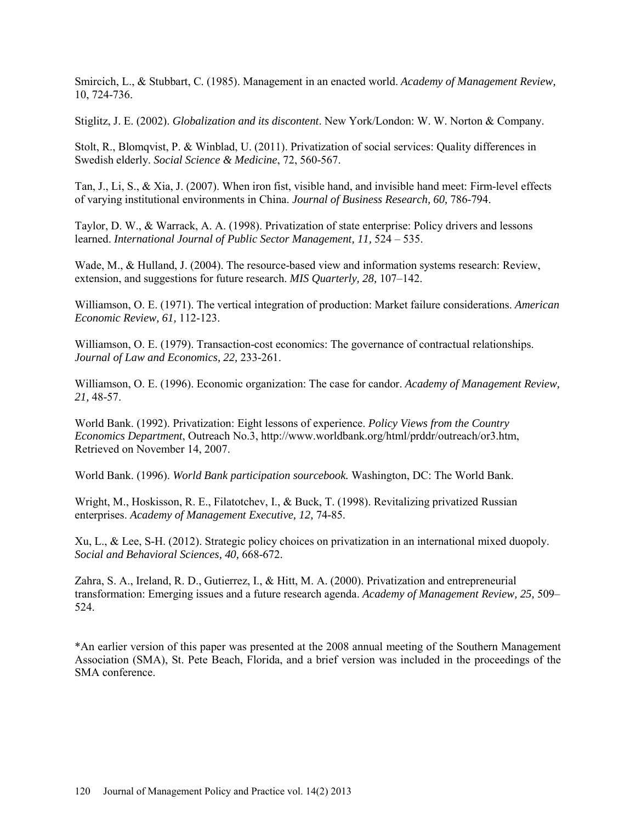Smircich, L., & Stubbart, C. (1985). Management in an enacted world. *Academy of Management Review,* 10, 724-736.

Stiglitz, J. E. (2002). *Globalization and its discontent*. New York/London: W. W. Norton & Company.

Stolt, R., Blomqvist, P. & Winblad, U. (2011). Privatization of social services: Quality differences in Swedish elderly. *Social Science & Medicine*, 72, 560-567.

Tan, J., Li, S., & Xia, J. (2007). When iron fist, visible hand, and invisible hand meet: Firm-level effects of varying institutional environments in China. *Journal of Business Research, 60,* 786-794.

Taylor, D. W., & Warrack, A. A. (1998). Privatization of state enterprise: Policy drivers and lessons learned. *International Journal of Public Sector Management, 11,* 524 – 535.

Wade, M., & Hulland, J. (2004). The resource-based view and information systems research: Review, extension, and suggestions for future research. *MIS Quarterly, 28,* 107–142.

Williamson, O. E. (1971). The vertical integration of production: Market failure considerations. *American Economic Review, 61,* 112-123.

Williamson, O. E. (1979). Transaction-cost economics: The governance of contractual relationships. *Journal of Law and Economics, 22,* 233-261.

Williamson, O. E. (1996). Economic organization: The case for candor. *[Academy of Management Review,](javascript:__doLinkPostBack() 21,* 48-57.

World Bank. (1992). Privatization: Eight lessons of experience. *Policy Views from the Country Economics Department*, Outreach No.3, http://www.worldbank.org/html/prddr/outreach/or3.htm, Retrieved on November 14, 2007.

World Bank. (1996). *World Bank participation sourcebook.* Washington, DC: The World Bank.

Wright, M., Hoskisson, R. E., Filatotchev, I., & Buck, T. (1998). Revitalizing privatized Russian enterprises. *[Academy of Management Executive,](javascript:__doLinkPostBack() 12,* 74-85.

Xu, L., & Lee, S-H. (2012). Strategic policy choices on privatization in an international mixed duopoly. *Social and Behavioral Sciences, 40,* 668-672.

Zahra, S. A., Ireland, R. D., Gutierrez, I., & Hitt, M. A. (2000). Privatization and entrepreneurial transformation: Emerging issues and a future research agenda. *Academy of Management Review, 25,* 509– 524.

\*An earlier version of this paper was presented at the 2008 annual meeting of the Southern Management Association (SMA), St. Pete Beach, Florida, and a brief version was included in the proceedings of the SMA conference.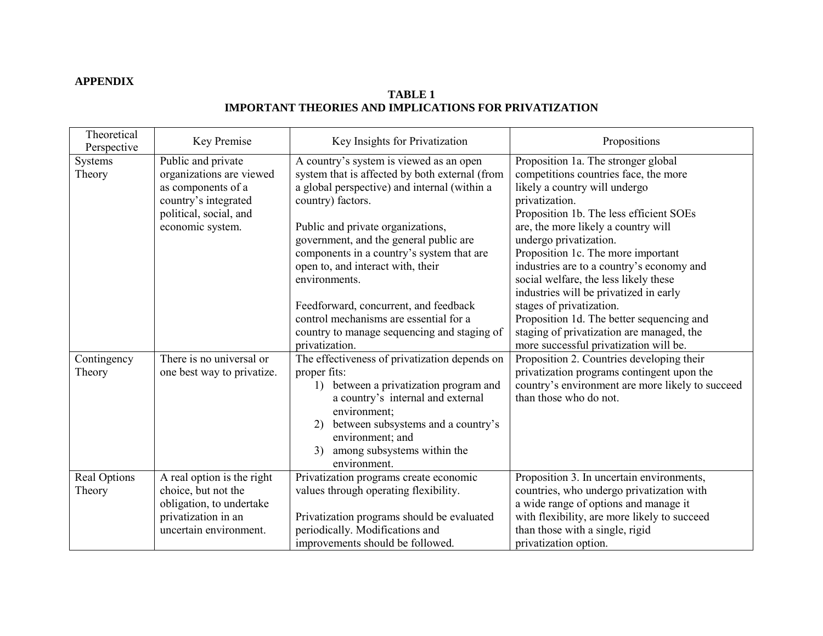# **APPENDIX**

# **TABLE 1 IMPORTANT THEORIES AND IMPLICATIONS FOR PRIVATIZATION**

| Theoretical<br>Perspective | Key Premise                                                                                                                                | Key Insights for Privatization                                                                                                                                                                                                                                                                                                  | Propositions                                                                                                                                                                                                                                                                                                                   |
|----------------------------|--------------------------------------------------------------------------------------------------------------------------------------------|---------------------------------------------------------------------------------------------------------------------------------------------------------------------------------------------------------------------------------------------------------------------------------------------------------------------------------|--------------------------------------------------------------------------------------------------------------------------------------------------------------------------------------------------------------------------------------------------------------------------------------------------------------------------------|
| Systems<br>Theory          | Public and private<br>organizations are viewed<br>as components of a<br>country's integrated<br>political, social, and<br>economic system. | A country's system is viewed as an open<br>system that is affected by both external (from<br>a global perspective) and internal (within a<br>country) factors.<br>Public and private organizations,<br>government, and the general public are<br>components in a country's system that are<br>open to, and interact with, their | Proposition 1a. The stronger global<br>competitions countries face, the more<br>likely a country will undergo<br>privatization.<br>Proposition 1b. The less efficient SOEs<br>are, the more likely a country will<br>undergo privatization.<br>Proposition 1c. The more important<br>industries are to a country's economy and |
|                            |                                                                                                                                            | environments.<br>Feedforward, concurrent, and feedback<br>control mechanisms are essential for a<br>country to manage sequencing and staging of<br>privatization.                                                                                                                                                               | social welfare, the less likely these<br>industries will be privatized in early<br>stages of privatization.<br>Proposition 1d. The better sequencing and<br>staging of privatization are managed, the<br>more successful privatization will be.                                                                                |
| Contingency<br>Theory      | There is no universal or<br>one best way to privatize.                                                                                     | The effectiveness of privatization depends on<br>proper fits:<br>between a privatization program and<br>1)<br>a country's internal and external<br>environment;<br>between subsystems and a country's<br>2)<br>environment; and<br>among subsystems within the<br>3)<br>environment.                                            | Proposition 2. Countries developing their<br>privatization programs contingent upon the<br>country's environment are more likely to succeed<br>than those who do not.                                                                                                                                                          |
| Real Options<br>Theory     | A real option is the right<br>choice, but not the<br>obligation, to undertake<br>privatization in an<br>uncertain environment.             | Privatization programs create economic<br>values through operating flexibility.<br>Privatization programs should be evaluated<br>periodically. Modifications and<br>improvements should be followed.                                                                                                                            | Proposition 3. In uncertain environments,<br>countries, who undergo privatization with<br>a wide range of options and manage it<br>with flexibility, are more likely to succeed<br>than those with a single, rigid<br>privatization option.                                                                                    |